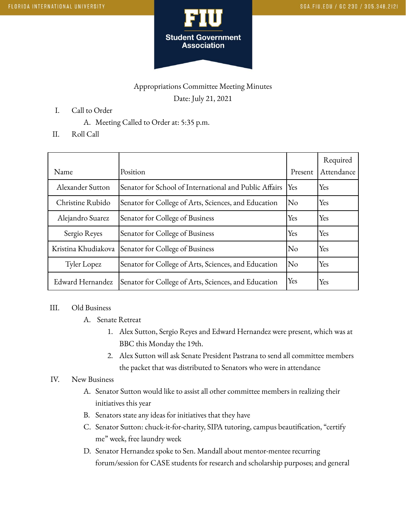

## Appropriations Committee Meeting Minutes Date: July 21, 2021

- I. Call to Order
	- A. Meeting Called to Order at: 5:35 p.m.
- II. Roll Call

| Name                | Position                                               | Present                | Required<br>Attendance |
|---------------------|--------------------------------------------------------|------------------------|------------------------|
| Alexander Sutton    | Senator for School of International and Public Affairs | Yes                    | Yes                    |
| Christine Rubido    | Senator for College of Arts, Sciences, and Education   | $\overline{\text{No}}$ | Yes                    |
| Alejandro Suarez    | Senator for College of Business                        | Yes                    | Yes                    |
| Sergio Reyes        | Senator for College of Business                        | Yes                    | Yes                    |
| Kristina Khudiakova | Senator for College of Business                        | No                     | Yes                    |
| Tyler Lopez         | Senator for College of Arts, Sciences, and Education   | No                     | Yes                    |
| Edward Hernandez    | Senator for College of Arts, Sciences, and Education   | Yes                    | Yes                    |

## III. Old Business

- A. Senate Retreat
	- 1. Alex Sutton, Sergio Reyes and Edward Hernandez were present, which was at BBC this Monday the 19th.
	- 2. Alex Sutton will ask Senate President Pastrana to send all committee members the packet that was distributed to Senators who were in attendance

## IV. New Business

- A. Senator Sutton would like to assist all other committee members in realizing their initiatives this year
- B. Senators state any ideas for initiatives that they have
- C. Senator Sutton: chuck-it-for-charity, SIPA tutoring, campus beautification, "certify me" week, free laundry week
- D. Senator Hernandez spoke to Sen. Mandall about mentor-mentee recurring forum/session for CASE students for research and scholarship purposes; and general